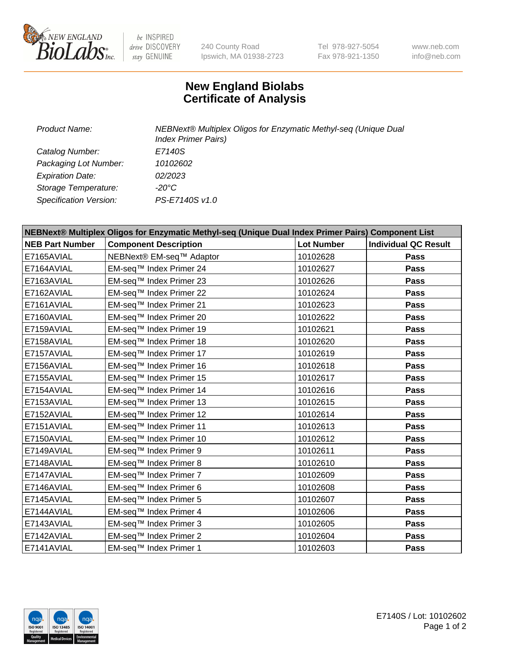

 $be$  INSPIRED drive DISCOVERY stay GENUINE

240 County Road Ipswich, MA 01938-2723 Tel 978-927-5054 Fax 978-921-1350 www.neb.com info@neb.com

## **New England Biolabs Certificate of Analysis**

| Product Name:           | NEBNext® Multiplex Oligos for Enzymatic Methyl-seq (Unique Dual<br><b>Index Primer Pairs)</b> |
|-------------------------|-----------------------------------------------------------------------------------------------|
| Catalog Number:         | E7140S                                                                                        |
| Packaging Lot Number:   | 10102602                                                                                      |
| <b>Expiration Date:</b> | 02/2023                                                                                       |
| Storage Temperature:    | -20°C                                                                                         |
| Specification Version:  | PS-E7140S v1.0                                                                                |

| NEBNext® Multiplex Oligos for Enzymatic Methyl-seq (Unique Dual Index Primer Pairs) Component List |                              |                   |                             |  |
|----------------------------------------------------------------------------------------------------|------------------------------|-------------------|-----------------------------|--|
| <b>NEB Part Number</b>                                                                             | <b>Component Description</b> | <b>Lot Number</b> | <b>Individual QC Result</b> |  |
| E7165AVIAL                                                                                         | NEBNext® EM-seq™ Adaptor     | 10102628          | <b>Pass</b>                 |  |
| E7164AVIAL                                                                                         | EM-seq™ Index Primer 24      | 10102627          | <b>Pass</b>                 |  |
| E7163AVIAL                                                                                         | EM-seq™ Index Primer 23      | 10102626          | Pass                        |  |
| E7162AVIAL                                                                                         | EM-seq™ Index Primer 22      | 10102624          | <b>Pass</b>                 |  |
| E7161AVIAL                                                                                         | EM-seq™ Index Primer 21      | 10102623          | <b>Pass</b>                 |  |
| E7160AVIAL                                                                                         | EM-seq™ Index Primer 20      | 10102622          | Pass                        |  |
| E7159AVIAL                                                                                         | EM-seq™ Index Primer 19      | 10102621          | Pass                        |  |
| E7158AVIAL                                                                                         | EM-seq™ Index Primer 18      | 10102620          | Pass                        |  |
| E7157AVIAL                                                                                         | EM-seq™ Index Primer 17      | 10102619          | <b>Pass</b>                 |  |
| E7156AVIAL                                                                                         | EM-seq™ Index Primer 16      | 10102618          | Pass                        |  |
| E7155AVIAL                                                                                         | EM-seq™ Index Primer 15      | 10102617          | <b>Pass</b>                 |  |
| E7154AVIAL                                                                                         | EM-seq™ Index Primer 14      | 10102616          | Pass                        |  |
| E7153AVIAL                                                                                         | EM-seq™ Index Primer 13      | 10102615          | <b>Pass</b>                 |  |
| E7152AVIAL                                                                                         | EM-seq™ Index Primer 12      | 10102614          | Pass                        |  |
| E7151AVIAL                                                                                         | EM-seq™ Index Primer 11      | 10102613          | <b>Pass</b>                 |  |
| E7150AVIAL                                                                                         | EM-seq™ Index Primer 10      | 10102612          | <b>Pass</b>                 |  |
| E7149AVIAL                                                                                         | EM-seq™ Index Primer 9       | 10102611          | <b>Pass</b>                 |  |
| E7148AVIAL                                                                                         | EM-seq™ Index Primer 8       | 10102610          | Pass                        |  |
| E7147AVIAL                                                                                         | EM-seq™ Index Primer 7       | 10102609          | Pass                        |  |
| E7146AVIAL                                                                                         | EM-seq™ Index Primer 6       | 10102608          | <b>Pass</b>                 |  |
| E7145AVIAL                                                                                         | EM-seq™ Index Primer 5       | 10102607          | Pass                        |  |
| E7144AVIAL                                                                                         | EM-seq™ Index Primer 4       | 10102606          | Pass                        |  |
| E7143AVIAL                                                                                         | EM-seq™ Index Primer 3       | 10102605          | Pass                        |  |
| E7142AVIAL                                                                                         | EM-seq™ Index Primer 2       | 10102604          | <b>Pass</b>                 |  |
| E7141AVIAL                                                                                         | EM-seq™ Index Primer 1       | 10102603          | Pass                        |  |